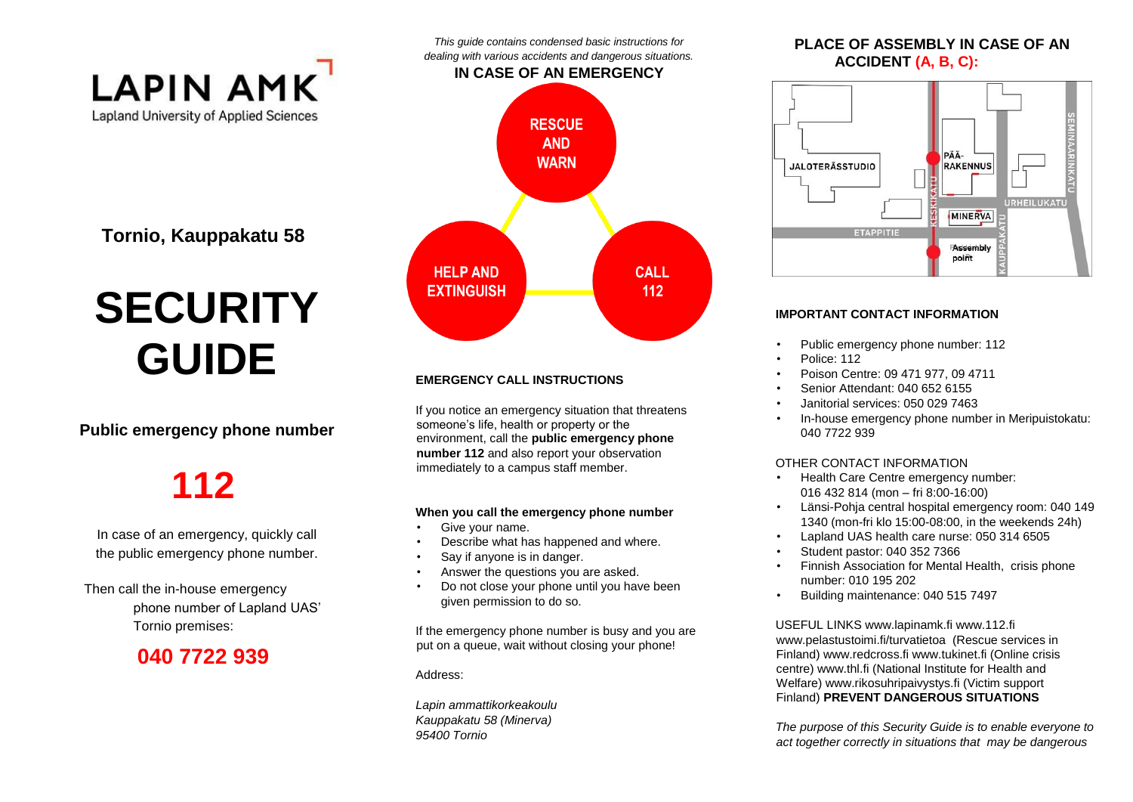

**Tornio, Kauppakatu 58** 

# **SECURITY GUIDE**

#### **Public emergency phone number**

## **112**

In case of an emergency, quickly call the public emergency phone number.

Then call the in-house emergency phone number of Lapland UAS' Tornio premises:

### **040 7722 939**



*This guide contains condensed basic instructions for* 

#### **EMERGENCY CALL INSTRUCTIONS**

If you notice an emergency situation that threatens someone's life, health or property or the environment, call the **public emergency phone number 112** and also report your observation immediately to a campus staff member.

#### **When you call the emergency phone number**

- Give your name.
- Describe what has happened and where.
- Say if anyone is in danger.
- Answer the questions you are asked.
- Do not close your phone until you have been given permission to do so.

If the emergency phone number is busy and you are put on a queue, wait without closing your phone!

Address:

*Lapin ammattikorkeakoulu Kauppakatu 58 (Minerva) 95400 Tornio* 

#### **PLACE OF ASSEMBLY IN CASE OF AN ACCIDENT (A, B, C):**



#### **IMPORTANT CONTACT INFORMATION**

- Public emergency phone number: 112
- Police: 112
- Poison Centre: 09 471 977, 09 4711
- Senior Attendant: 040 652 6155
- Janitorial services: 050 029 7463
- In-house emergency phone number in Meripuistokatu: 040 7722 939

#### OTHER CONTACT INFORMATION

- Health Care Centre emergency number: 016 432 814 (mon – fri 8:00-16:00)
- Länsi-Pohja central hospital emergency room: 040 149 1340 (mon-fri klo 15:00-08:00, in the weekends 24h)
- Lapland UAS health care nurse: 050 314 6505
- Student pastor: 040 352 7366
- Finnish Association for Mental Health, crisis phone number: 010 195 202
- Building maintenance: 040 515 7497

USEFUL LINKS www.lapinamk.fi www.112.fi www.pelastustoimi.fi/turvatietoa (Rescue services in Finland) www.redcross.fi www.tukinet.fi (Online crisis centre) www.thl.fi (National Institute for Health and Welfare) www.rikosuhripaivystys.fi (Victim support Finland) **PREVENT DANGEROUS SITUATIONS** 

*The purpose of this Security Guide is to enable everyone to act together correctly in situations that may be dangerous*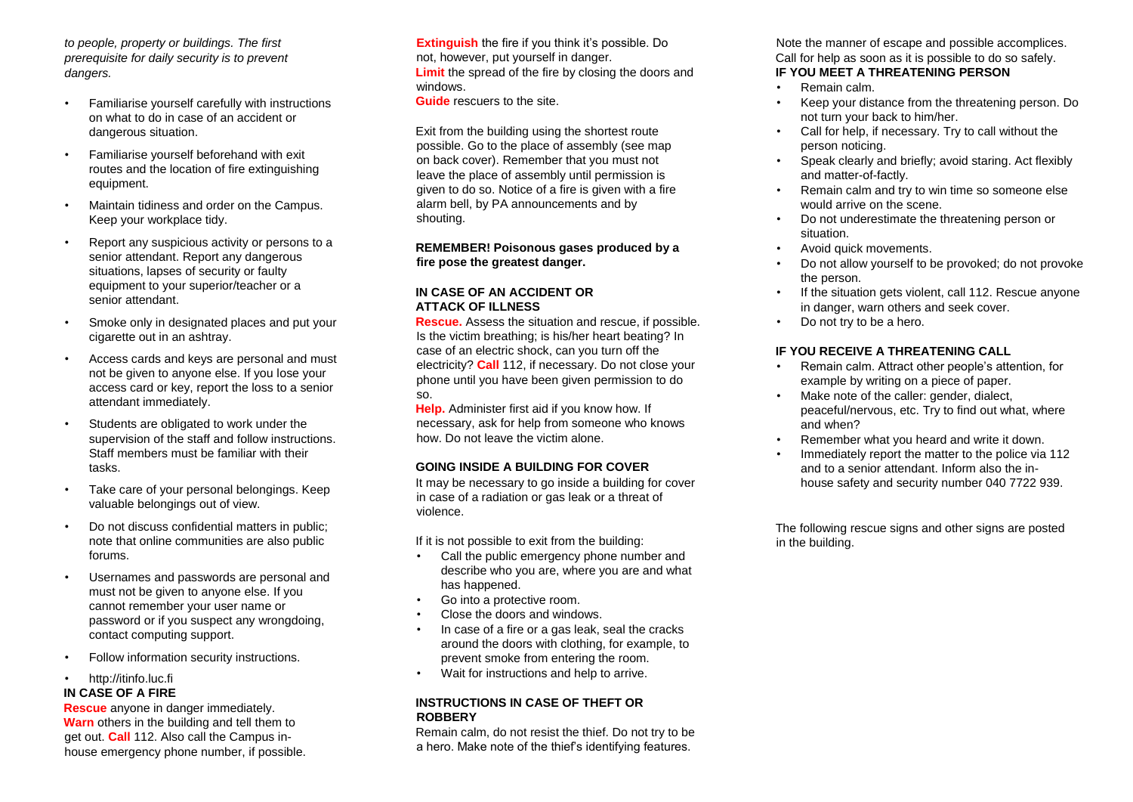*to people, property or buildings. The first prerequisite for daily security is to prevent dangers.* 

- Familiarise yourself carefully with instructions on what to do in case of an accident or dangerous situation.
- Familiarise yourself beforehand with exit routes and the location of fire extinguishing equipment.
- Maintain tidiness and order on the Campus. Keep your workplace tidy.
- Report any suspicious activity or persons to a senior attendant. Report any dangerous situations, lapses of security or faulty equipment to your superior/teacher or a senior attendant.
- Smoke only in designated places and put your cigarette out in an ashtray.
- Access cards and keys are personal and must not be given to anyone else. If you lose your access card or key, report the loss to a senior attendant immediately.
- Students are obligated to work under the supervision of the staff and follow instructions. Staff members must be familiar with their tasks.
- Take care of your personal belongings. Keep valuable belongings out of view.
- Do not discuss confidential matters in public; note that online communities are also public forums.
- Usernames and passwords are personal and must not be given to anyone else. If you cannot remember your user name or password or if you suspect any wrongdoing, contact computing support.
- Follow information security instructions.

#### • http://itinfo.luc.fi

#### **IN CASE OF A FIRE**

**Rescue** anyone in danger immediately. **Warn** others in the building and tell them to get out. **Call** 112. Also call the Campus inhouse emergency phone number, if possible. **Extinguish** the fire if you think it's possible. Do not, however, put yourself in danger. **Limit** the spread of the fire by closing the doors and windows.

**Guide** rescuers to the site.

Exit from the building using the shortest route possible. Go to the place of assembly (see map on back cover). Remember that you must not leave the place of assembly until permission is given to do so. Notice of a fire is given with a fire alarm bell, by PA announcements and by shouting.

**REMEMBER! Poisonous gases produced by a fire pose the greatest danger.** 

#### **IN CASE OF AN ACCIDENT OR ATTACK OF ILLNESS**

**Rescue.** Assess the situation and rescue, if possible. Is the victim breathing; is his/her heart beating? In case of an electric shock, can you turn off the electricity? **Call** 112, if necessary. Do not close your phone until you have been given permission to do so.

**Help.** Administer first aid if you know how. If necessary, ask for help from someone who knows how. Do not leave the victim alone.

#### **GOING INSIDE A BUILDING FOR COVER**

It may be necessary to go inside a building for cover in case of a radiation or gas leak or a threat of violence.

If it is not possible to exit from the building:

- Call the public emergency phone number and describe who you are, where you are and what has happened.
- Go into a protective room.
- Close the doors and windows.
- In case of a fire or a gas leak, seal the cracks around the doors with clothing, for example, to prevent smoke from entering the room.
- Wait for instructions and help to arrive.

#### **INSTRUCTIONS IN CASE OF THEFT OR ROBBERY**

Remain calm, do not resist the thief. Do not try to be a hero. Make note of the thief's identifying features.

Note the manner of escape and possible accomplices. Call for help as soon as it is possible to do so safely. **IF YOU MEET A THREATENING PERSON**

- Remain calm.
- Keep your distance from the threatening person. Do not turn your back to him/her.
- Call for help, if necessary. Try to call without the person noticing.
- Speak clearly and briefly; avoid staring. Act flexibly and matter-of-factly.
- Remain calm and try to win time so someone else would arrive on the scene.
- Do not underestimate the threatening person or situation.
- Avoid quick movements.
- Do not allow yourself to be provoked; do not provoke the person.
- If the situation gets violent, call 112. Rescue anyone in danger, warn others and seek cover.
- Do not try to be a hero.

#### **IF YOU RECEIVE A THREATENING CALL**

- Remain calm. Attract other people's attention, for example by writing on a piece of paper.
- Make note of the caller: gender, dialect, peaceful/nervous, etc. Try to find out what, where and when?
- Remember what you heard and write it down.
- Immediately report the matter to the police via 112 and to a senior attendant. Inform also the inhouse safety and security number 040 7722 939.

The following rescue signs and other signs are posted in the building.